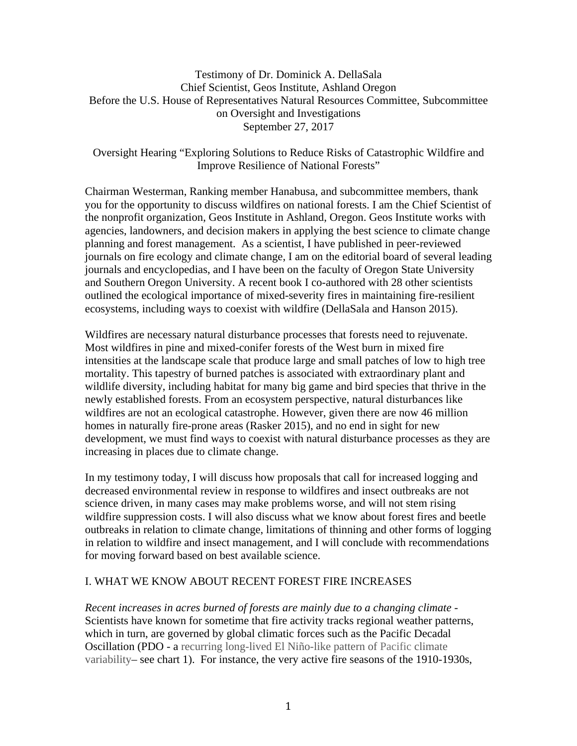Testimony of Dr. Dominick A. DellaSala Chief Scientist, Geos Institute, Ashland Oregon Before the U.S. House of Representatives Natural Resources Committee, Subcommittee on Oversight and Investigations September 27, 2017

Oversight Hearing "Exploring Solutions to Reduce Risks of Catastrophic Wildfire and Improve Resilience of National Forests"

Chairman Westerman, Ranking member Hanabusa, and subcommittee members, thank you for the opportunity to discuss wildfires on national forests. I am the Chief Scientist of the nonprofit organization, Geos Institute in Ashland, Oregon. Geos Institute works with agencies, landowners, and decision makers in applying the best science to climate change planning and forest management. As a scientist, I have published in peer-reviewed journals on fire ecology and climate change, I am on the editorial board of several leading journals and encyclopedias, and I have been on the faculty of Oregon State University and Southern Oregon University. A recent book I co-authored with 28 other scientists outlined the ecological importance of mixed-severity fires in maintaining fire-resilient ecosystems, including ways to coexist with wildfire (DellaSala and Hanson 2015).

Wildfires are necessary natural disturbance processes that forests need to rejuvenate. Most wildfires in pine and mixed-conifer forests of the West burn in mixed fire intensities at the landscape scale that produce large and small patches of low to high tree mortality. This tapestry of burned patches is associated with extraordinary plant and wildlife diversity, including habitat for many big game and bird species that thrive in the newly established forests. From an ecosystem perspective, natural disturbances like wildfires are not an ecological catastrophe. However, given there are now 46 million homes in naturally fire-prone areas (Rasker 2015), and no end in sight for new development, we must find ways to coexist with natural disturbance processes as they are increasing in places due to climate change.

In my testimony today, I will discuss how proposals that call for increased logging and decreased environmental review in response to wildfires and insect outbreaks are not science driven, in many cases may make problems worse, and will not stem rising wildfire suppression costs. I will also discuss what we know about forest fires and beetle outbreaks in relation to climate change, limitations of thinning and other forms of logging in relation to wildfire and insect management, and I will conclude with recommendations for moving forward based on best available science.

## I. WHAT WE KNOW ABOUT RECENT FOREST FIRE INCREASES

*Recent increases in acres burned of forests are mainly due to a changing climate* - Scientists have known for sometime that fire activity tracks regional weather patterns, which in turn, are governed by global climatic forces such as the Pacific Decadal Oscillation (PDO - a recurring long-lived El Niño-like pattern of Pacific climate variability– see chart 1). For instance, the very active fire seasons of the 1910-1930s,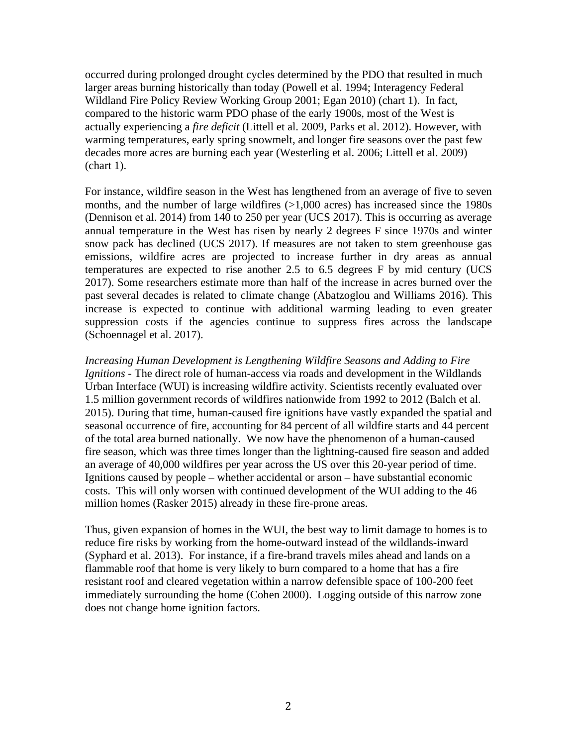occurred during prolonged drought cycles determined by the PDO that resulted in much larger areas burning historically than today (Powell et al. 1994; Interagency Federal Wildland Fire Policy Review Working Group 2001; Egan 2010) (chart 1). In fact, compared to the historic warm PDO phase of the early 1900s, most of the West is actually experiencing a *fire deficit* (Littell et al. 2009, Parks et al. 2012). However, with warming temperatures, early spring snowmelt, and longer fire seasons over the past few decades more acres are burning each year (Westerling et al. 2006; Littell et al. 2009) (chart 1).

For instance, wildfire season in the West has lengthened from an average of five to seven months, and the number of large wildfires (>1,000 acres) has increased since the 1980s (Dennison et al. 2014) from 140 to 250 per year (UCS 2017). This is occurring as average annual temperature in the West has risen by nearly 2 degrees F since 1970s and winter snow pack has declined (UCS 2017). If measures are not taken to stem greenhouse gas emissions, wildfire acres are projected to increase further in dry areas as annual temperatures are expected to rise another 2.5 to 6.5 degrees F by mid century (UCS 2017). Some researchers estimate more than half of the increase in acres burned over the past several decades is related to climate change (Abatzoglou and Williams 2016). This increase is expected to continue with additional warming leading to even greater suppression costs if the agencies continue to suppress fires across the landscape (Schoennagel et al. 2017).

*Increasing Human Development is Lengthening Wildfire Seasons and Adding to Fire Ignitions* - The direct role of human-access via roads and development in the Wildlands Urban Interface (WUI) is increasing wildfire activity. Scientists recently evaluated over 1.5 million government records of wildfires nationwide from 1992 to 2012 (Balch et al. 2015). During that time, human-caused fire ignitions have vastly expanded the spatial and seasonal occurrence of fire, accounting for 84 percent of all wildfire starts and 44 percent of the total area burned nationally. We now have the phenomenon of a human-caused fire season, which was three times longer than the lightning-caused fire season and added an average of 40,000 wildfires per year across the US over this 20-year period of time. Ignitions caused by people – whether accidental or arson – have substantial economic costs. This will only worsen with continued development of the WUI adding to the 46 million homes (Rasker 2015) already in these fire-prone areas.

Thus, given expansion of homes in the WUI, the best way to limit damage to homes is to reduce fire risks by working from the home-outward instead of the wildlands-inward (Syphard et al. 2013). For instance, if a fire-brand travels miles ahead and lands on a flammable roof that home is very likely to burn compared to a home that has a fire resistant roof and cleared vegetation within a narrow defensible space of 100-200 feet immediately surrounding the home (Cohen 2000). Logging outside of this narrow zone does not change home ignition factors.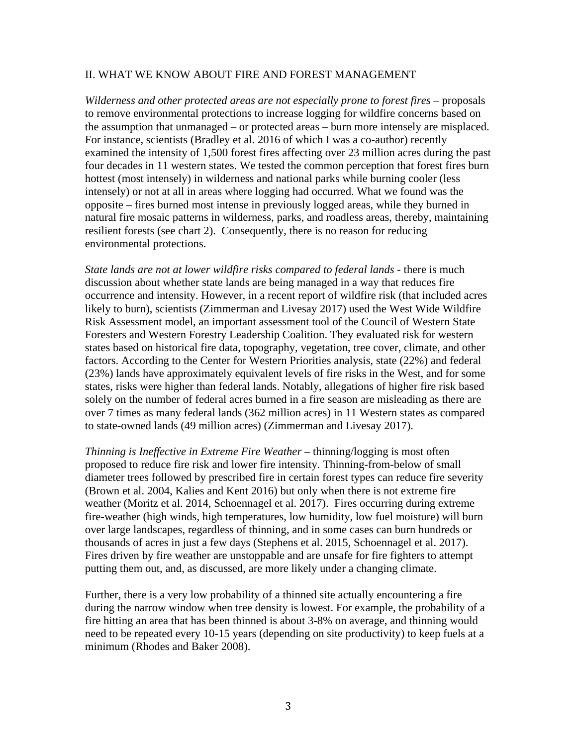#### II. WHAT WE KNOW ABOUT FIRE AND FOREST MANAGEMENT

*Wilderness and other protected areas are not especially prone to forest fires* – proposals to remove environmental protections to increase logging for wildfire concerns based on the assumption that unmanaged – or protected areas – burn more intensely are misplaced. For instance, scientists (Bradley et al. 2016 of which I was a co-author) recently examined the intensity of 1,500 forest fires affecting over 23 million acres during the past four decades in 11 western states. We tested the common perception that forest fires burn hottest (most intensely) in wilderness and national parks while burning cooler (less intensely) or not at all in areas where logging had occurred. What we found was the opposite – fires burned most intense in previously logged areas, while they burned in natural fire mosaic patterns in wilderness, parks, and roadless areas, thereby, maintaining resilient forests (see chart 2). Consequently, there is no reason for reducing environmental protections.

*State lands are not at lower wildfire risks compared to federal lands* - there is much discussion about whether state lands are being managed in a way that reduces fire occurrence and intensity. However, in a recent report of wildfire risk (that included acres likely to burn), scientists (Zimmerman and Livesay 2017) used the West Wide Wildfire Risk Assessment model, an important assessment tool of the Council of Western State Foresters and Western Forestry Leadership Coalition. They evaluated risk for western states based on historical fire data, topography, vegetation, tree cover, climate, and other factors. According to the Center for Western Priorities analysis, state (22%) and federal (23%) lands have approximately equivalent levels of fire risks in the West, and for some states, risks were higher than federal lands. Notably, allegations of higher fire risk based solely on the number of federal acres burned in a fire season are misleading as there are over 7 times as many federal lands (362 million acres) in 11 Western states as compared to state-owned lands (49 million acres) (Zimmerman and Livesay 2017).

*Thinning is Ineffective in Extreme Fire Weather –* thinning/logging is most often proposed to reduce fire risk and lower fire intensity. Thinning-from-below of small diameter trees followed by prescribed fire in certain forest types can reduce fire severity (Brown et al. 2004, Kalies and Kent 2016) but only when there is not extreme fire weather (Moritz et al. 2014, Schoennagel et al. 2017). Fires occurring during extreme fire-weather (high winds, high temperatures, low humidity, low fuel moisture) will burn over large landscapes, regardless of thinning, and in some cases can burn hundreds or thousands of acres in just a few days (Stephens et al. 2015, Schoennagel et al. 2017). Fires driven by fire weather are unstoppable and are unsafe for fire fighters to attempt putting them out, and, as discussed, are more likely under a changing climate.

Further, there is a very low probability of a thinned site actually encountering a fire during the narrow window when tree density is lowest. For example, the probability of a fire hitting an area that has been thinned is about 3-8% on average, and thinning would need to be repeated every 10-15 years (depending on site productivity) to keep fuels at a minimum (Rhodes and Baker 2008).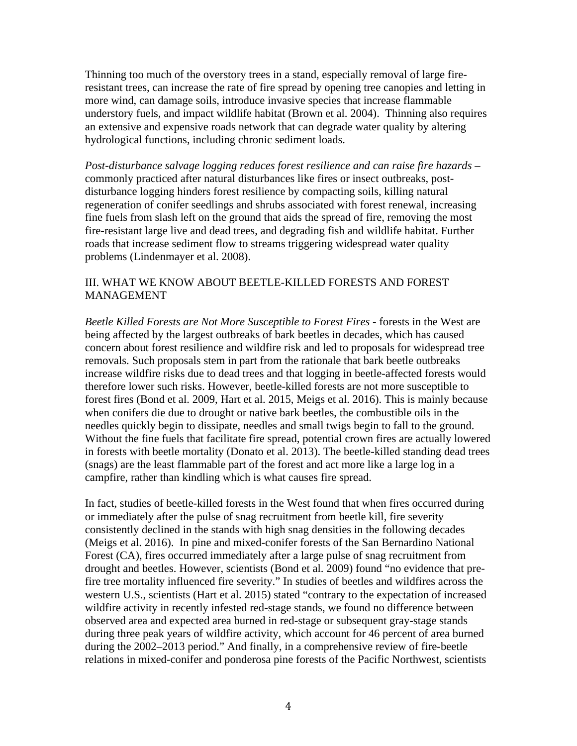Thinning too much of the overstory trees in a stand, especially removal of large fireresistant trees, can increase the rate of fire spread by opening tree canopies and letting in more wind, can damage soils, introduce invasive species that increase flammable understory fuels, and impact wildlife habitat (Brown et al. 2004). Thinning also requires an extensive and expensive roads network that can degrade water quality by altering hydrological functions, including chronic sediment loads.

*Post-disturbance salvage logging reduces forest resilience and can raise fire hazards* – commonly practiced after natural disturbances like fires or insect outbreaks, postdisturbance logging hinders forest resilience by compacting soils, killing natural regeneration of conifer seedlings and shrubs associated with forest renewal, increasing fine fuels from slash left on the ground that aids the spread of fire, removing the most fire-resistant large live and dead trees, and degrading fish and wildlife habitat. Further roads that increase sediment flow to streams triggering widespread water quality problems (Lindenmayer et al. 2008).

### III. WHAT WE KNOW ABOUT BEETLE-KILLED FORESTS AND FOREST MANAGEMENT

*Beetle Killed Forests are Not More Susceptible to Forest Fires -* forests in the West are being affected by the largest outbreaks of bark beetles in decades, which has caused concern about forest resilience and wildfire risk and led to proposals for widespread tree removals. Such proposals stem in part from the rationale that bark beetle outbreaks increase wildfire risks due to dead trees and that logging in beetle-affected forests would therefore lower such risks. However, beetle-killed forests are not more susceptible to forest fires (Bond et al. 2009, Hart et al. 2015, Meigs et al. 2016). This is mainly because when conifers die due to drought or native bark beetles, the combustible oils in the needles quickly begin to dissipate, needles and small twigs begin to fall to the ground. Without the fine fuels that facilitate fire spread, potential crown fires are actually lowered in forests with beetle mortality (Donato et al. 2013). The beetle-killed standing dead trees (snags) are the least flammable part of the forest and act more like a large log in a campfire, rather than kindling which is what causes fire spread.

In fact, studies of beetle-killed forests in the West found that when fires occurred during or immediately after the pulse of snag recruitment from beetle kill, fire severity consistently declined in the stands with high snag densities in the following decades (Meigs et al. 2016). In pine and mixed-conifer forests of the San Bernardino National Forest (CA), fires occurred immediately after a large pulse of snag recruitment from drought and beetles. However, scientists (Bond et al. 2009) found "no evidence that prefire tree mortality influenced fire severity." In studies of beetles and wildfires across the western U.S., scientists (Hart et al. 2015) stated "contrary to the expectation of increased wildfire activity in recently infested red-stage stands, we found no difference between observed area and expected area burned in red-stage or subsequent gray-stage stands during three peak years of wildfire activity, which account for 46 percent of area burned during the 2002–2013 period." And finally, in a comprehensive review of fire-beetle relations in mixed-conifer and ponderosa pine forests of the Pacific Northwest, scientists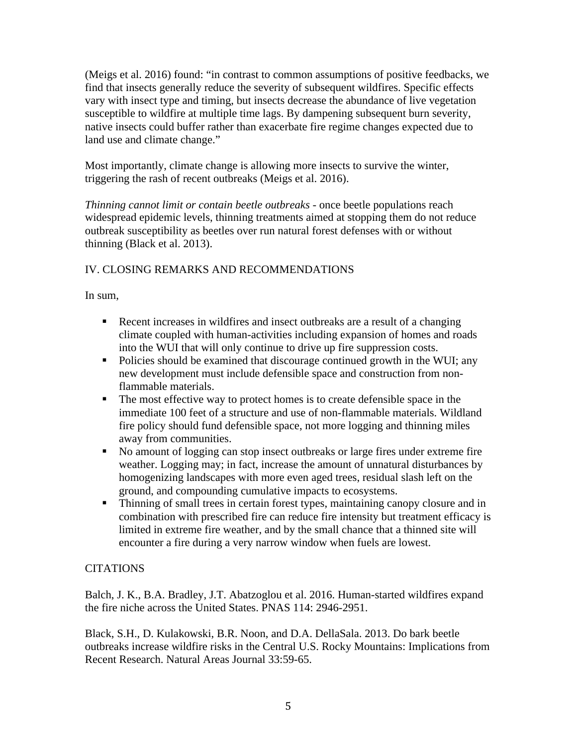(Meigs et al. 2016) found: "in contrast to common assumptions of positive feedbacks, we find that insects generally reduce the severity of subsequent wildfires. Specific effects vary with insect type and timing, but insects decrease the abundance of live vegetation susceptible to wildfire at multiple time lags. By dampening subsequent burn severity, native insects could buffer rather than exacerbate fire regime changes expected due to land use and climate change."

Most importantly, climate change is allowing more insects to survive the winter, triggering the rash of recent outbreaks (Meigs et al. 2016).

*Thinning cannot limit or contain beetle outbreaks* - once beetle populations reach widespread epidemic levels, thinning treatments aimed at stopping them do not reduce outbreak susceptibility as beetles over run natural forest defenses with or without thinning (Black et al. 2013).

# IV. CLOSING REMARKS AND RECOMMENDATIONS

In sum,

- Recent increases in wildfires and insect outbreaks are a result of a changing climate coupled with human-activities including expansion of homes and roads into the WUI that will only continue to drive up fire suppression costs.
- Policies should be examined that discourage continued growth in the WUI; any new development must include defensible space and construction from nonflammable materials.
- The most effective way to protect homes is to create defensible space in the immediate 100 feet of a structure and use of non-flammable materials. Wildland fire policy should fund defensible space, not more logging and thinning miles away from communities.
- § No amount of logging can stop insect outbreaks or large fires under extreme fire weather. Logging may; in fact, increase the amount of unnatural disturbances by homogenizing landscapes with more even aged trees, residual slash left on the ground, and compounding cumulative impacts to ecosystems.
- Thinning of small trees in certain forest types, maintaining canopy closure and in combination with prescribed fire can reduce fire intensity but treatment efficacy is limited in extreme fire weather, and by the small chance that a thinned site will encounter a fire during a very narrow window when fuels are lowest.

# **CITATIONS**

Balch, J. K., B.A. Bradley, J.T. Abatzoglou et al. 2016. Human-started wildfires expand the fire niche across the United States. PNAS 114: 2946-2951.

Black, S.H., D. Kulakowski, B.R. Noon, and D.A. DellaSala. 2013. Do bark beetle outbreaks increase wildfire risks in the Central U.S. Rocky Mountains: Implications from Recent Research. Natural Areas Journal 33:59-65.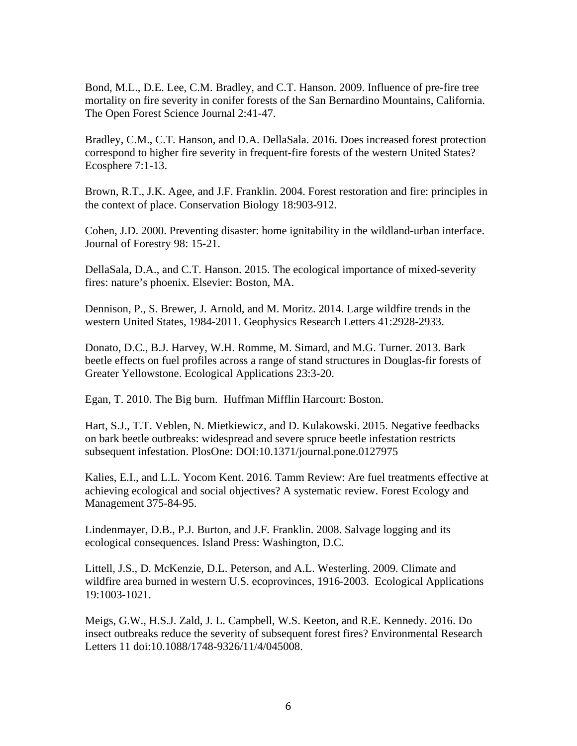Bond, M.L., D.E. Lee, C.M. Bradley, and C.T. Hanson. 2009. Influence of pre-fire tree mortality on fire severity in conifer forests of the San Bernardino Mountains, California. The Open Forest Science Journal 2:41-47.

Bradley, C.M., C.T. Hanson, and D.A. DellaSala. 2016. Does increased forest protection correspond to higher fire severity in frequent-fire forests of the western United States? Ecosphere 7:1-13.

Brown, R.T., J.K. Agee, and J.F. Franklin. 2004. Forest restoration and fire: principles in the context of place. Conservation Biology 18:903-912.

Cohen, J.D. 2000. Preventing disaster: home ignitability in the wildland-urban interface. Journal of Forestry 98: 15-21.

DellaSala, D.A., and C.T. Hanson. 2015. The ecological importance of mixed-severity fires: nature's phoenix. Elsevier: Boston, MA.

Dennison, P., S. Brewer, J. Arnold, and M. Moritz. 2014. Large wildfire trends in the western United States, 1984-2011. Geophysics Research Letters 41:2928-2933.

Donato, D.C., B.J. Harvey, W.H. Romme, M. Simard, and M.G. Turner. 2013. Bark beetle effects on fuel profiles across a range of stand structures in Douglas-fir forests of Greater Yellowstone. Ecological Applications 23:3-20.

Egan, T. 2010. The Big burn. Huffman Mifflin Harcourt: Boston.

Hart, S.J., T.T. Veblen, N. Mietkiewicz, and D. Kulakowski. 2015. Negative feedbacks on bark beetle outbreaks: widespread and severe spruce beetle infestation restricts subsequent infestation. PlosOne: DOI:10.1371/journal.pone.0127975

Kalies, E.I., and L.L. Yocom Kent. 2016. Tamm Review: Are fuel treatments effective at achieving ecological and social objectives? A systematic review. Forest Ecology and Management 375-84-95.

Lindenmayer, D.B., P.J. Burton, and J.F. Franklin. 2008. Salvage logging and its ecological consequences. Island Press: Washington, D.C.

Littell, J.S., D. McKenzie, D.L. Peterson, and A.L. Westerling. 2009. Climate and wildfire area burned in western U.S. ecoprovinces, 1916-2003. Ecological Applications 19:1003-1021.

Meigs, G.W., H.S.J. Zald, J. L. Campbell, W.S. Keeton, and R.E. Kennedy. 2016. Do insect outbreaks reduce the severity of subsequent forest fires? Environmental Research Letters 11 doi:10.1088/1748-9326/11/4/045008.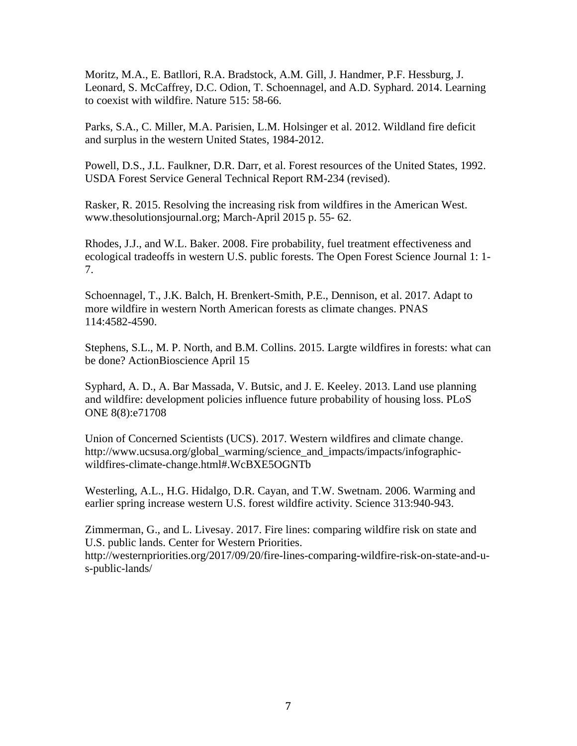Moritz, M.A., E. Batllori, R.A. Bradstock, A.M. Gill, J. Handmer, P.F. Hessburg, J. Leonard, S. McCaffrey, D.C. Odion, T. Schoennagel, and A.D. Syphard. 2014. Learning to coexist with wildfire. Nature 515: 58-66.

Parks, S.A., C. Miller, M.A. Parisien, L.M. Holsinger et al. 2012. Wildland fire deficit and surplus in the western United States, 1984-2012.

Powell, D.S., J.L. Faulkner, D.R. Darr, et al. Forest resources of the United States, 1992. USDA Forest Service General Technical Report RM-234 (revised).

Rasker, R. 2015. Resolving the increasing risk from wildfires in the American West. www.thesolutionsjournal.org; March-April 2015 p. 55- 62.

Rhodes, J.J., and W.L. Baker. 2008. Fire probability, fuel treatment effectiveness and ecological tradeoffs in western U.S. public forests. The Open Forest Science Journal 1: 1- 7.

Schoennagel, T., J.K. Balch, H. Brenkert-Smith, P.E., Dennison, et al. 2017. Adapt to more wildfire in western North American forests as climate changes. PNAS 114:4582-4590.

Stephens, S.L., M. P. North, and B.M. Collins. 2015. Largte wildfires in forests: what can be done? ActionBioscience April 15

Syphard, A. D., A. Bar Massada, V. Butsic, and J. E. Keeley. 2013. Land use planning and wildfire: development policies influence future probability of housing loss. PLoS ONE 8(8):e71708

Union of Concerned Scientists (UCS). 2017. Western wildfires and climate change. http://www.ucsusa.org/global\_warming/science\_and\_impacts/impacts/infographicwildfires-climate-change.html#.WcBXE5OGNTb

Westerling, A.L., H.G. Hidalgo, D.R. Cayan, and T.W. Swetnam. 2006. Warming and earlier spring increase western U.S. forest wildfire activity. Science 313:940-943.

Zimmerman, G., and L. Livesay. 2017. Fire lines: comparing wildfire risk on state and U.S. public lands. Center for Western Priorities.

http://westernpriorities.org/2017/09/20/fire-lines-comparing-wildfire-risk-on-state-and-us-public-lands/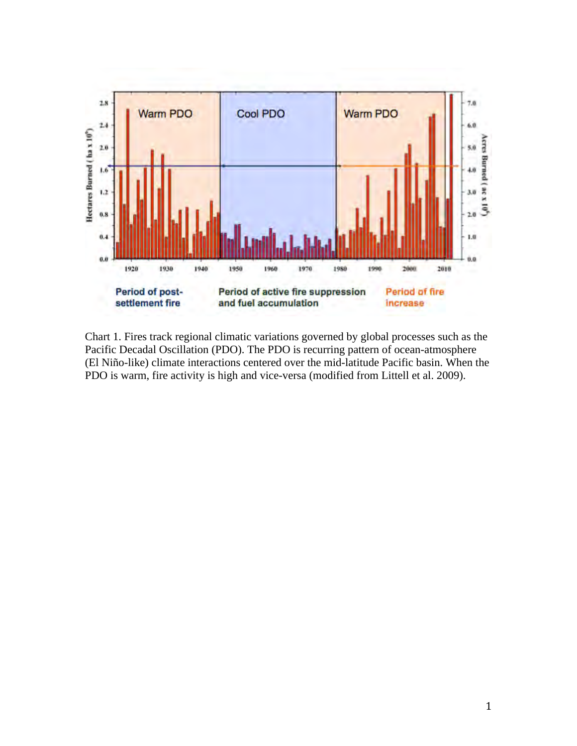

Chart 1. Fires track regional climatic variations governed by global processes such as the Pacific Decadal Oscillation (PDO). The PDO is recurring pattern of ocean-atmosphere (El Niño-like) climate interactions centered over the mid-latitude Pacific basin. When the PDO is warm, fire activity is high and vice-versa (modified from Littell et al. 2009).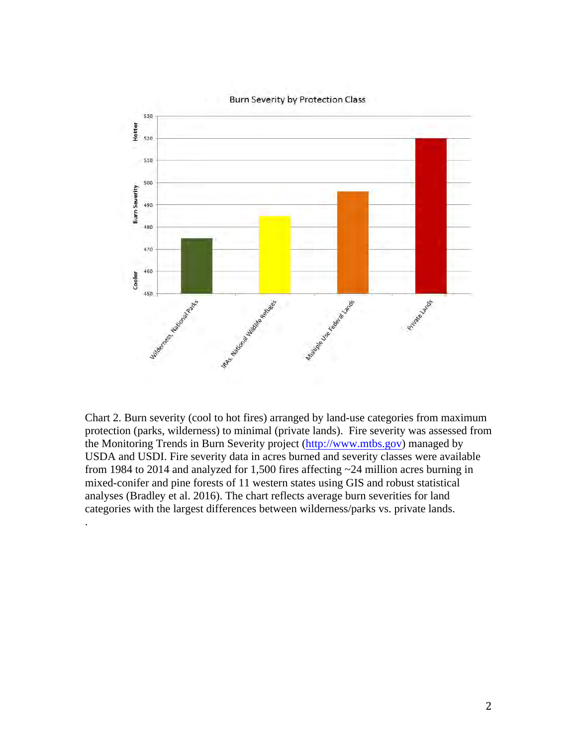

**Burn Severity by Protection Class** 

Chart 2. Burn severity (cool to hot fires) arranged by land-use categories from maximum protection (parks, wilderness) to minimal (private lands). Fire severity was assessed from the Monitoring Trends in Burn Severity project (http://www.mtbs.gov) managed by USDA and USDI. Fire severity data in acres burned and severity classes were available from 1984 to 2014 and analyzed for 1,500 fires affecting ~24 million acres burning in mixed-conifer and pine forests of 11 western states using GIS and robust statistical analyses (Bradley et al. 2016). The chart reflects average burn severities for land categories with the largest differences between wilderness/parks vs. private lands.

.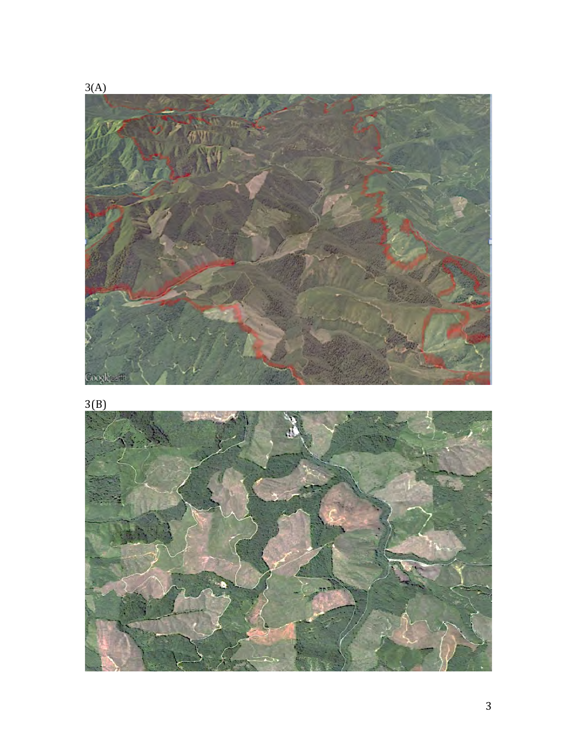

3(B)

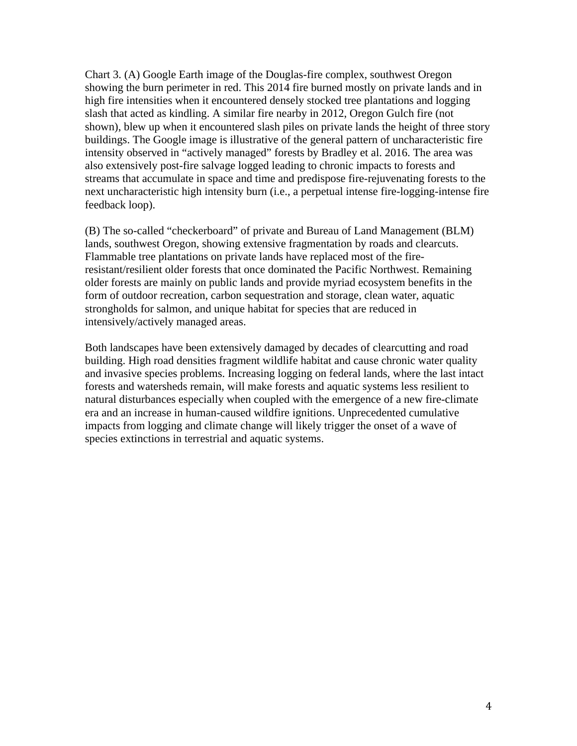Chart 3. (A) Google Earth image of the Douglas-fire complex, southwest Oregon showing the burn perimeter in red. This 2014 fire burned mostly on private lands and in high fire intensities when it encountered densely stocked tree plantations and logging slash that acted as kindling. A similar fire nearby in 2012, Oregon Gulch fire (not shown), blew up when it encountered slash piles on private lands the height of three story buildings. The Google image is illustrative of the general pattern of uncharacteristic fire intensity observed in "actively managed" forests by Bradley et al. 2016. The area was also extensively post-fire salvage logged leading to chronic impacts to forests and streams that accumulate in space and time and predispose fire-rejuvenating forests to the next uncharacteristic high intensity burn (i.e., a perpetual intense fire-logging-intense fire feedback loop).

(B) The so-called "checkerboard" of private and Bureau of Land Management (BLM) lands, southwest Oregon, showing extensive fragmentation by roads and clearcuts. Flammable tree plantations on private lands have replaced most of the fireresistant/resilient older forests that once dominated the Pacific Northwest. Remaining older forests are mainly on public lands and provide myriad ecosystem benefits in the form of outdoor recreation, carbon sequestration and storage, clean water, aquatic strongholds for salmon, and unique habitat for species that are reduced in intensively/actively managed areas.

Both landscapes have been extensively damaged by decades of clearcutting and road building. High road densities fragment wildlife habitat and cause chronic water quality and invasive species problems. Increasing logging on federal lands, where the last intact forests and watersheds remain, will make forests and aquatic systems less resilient to natural disturbances especially when coupled with the emergence of a new fire-climate era and an increase in human-caused wildfire ignitions. Unprecedented cumulative impacts from logging and climate change will likely trigger the onset of a wave of species extinctions in terrestrial and aquatic systems.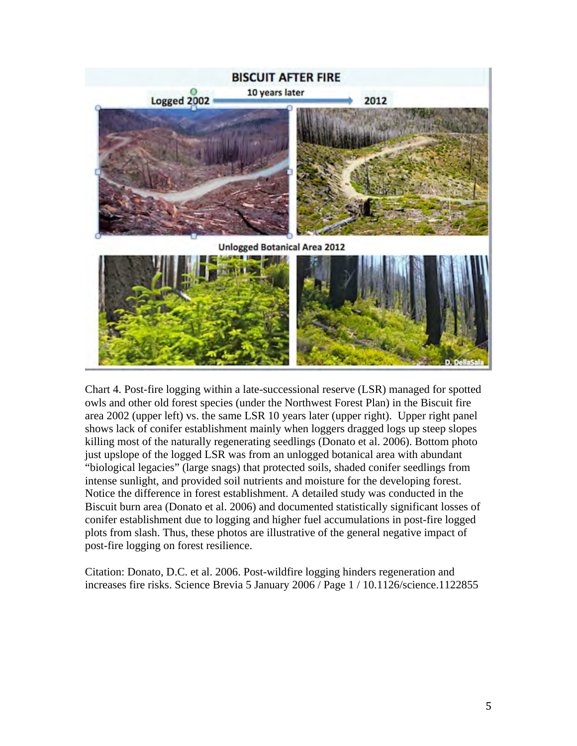

Chart 4. Post-fire logging within a late-successional reserve (LSR) managed for spotted owls and other old forest species (under the Northwest Forest Plan) in the Biscuit fire area 2002 (upper left) vs. the same LSR 10 years later (upper right). Upper right panel shows lack of conifer establishment mainly when loggers dragged logs up steep slopes killing most of the naturally regenerating seedlings (Donato et al. 2006). Bottom photo just upslope of the logged LSR was from an unlogged botanical area with abundant "biological legacies" (large snags) that protected soils, shaded conifer seedlings from intense sunlight, and provided soil nutrients and moisture for the developing forest. Notice the difference in forest establishment. A detailed study was conducted in the Biscuit burn area (Donato et al. 2006) and documented statistically significant losses of conifer establishment due to logging and higher fuel accumulations in post-fire logged plots from slash. Thus, these photos are illustrative of the general negative impact of post-fire logging on forest resilience.

Citation: Donato, D.C. et al. 2006. Post-wildfire logging hinders regeneration and increases fire risks. Science Brevia 5 January 2006 / Page 1 / 10.1126/science.1122855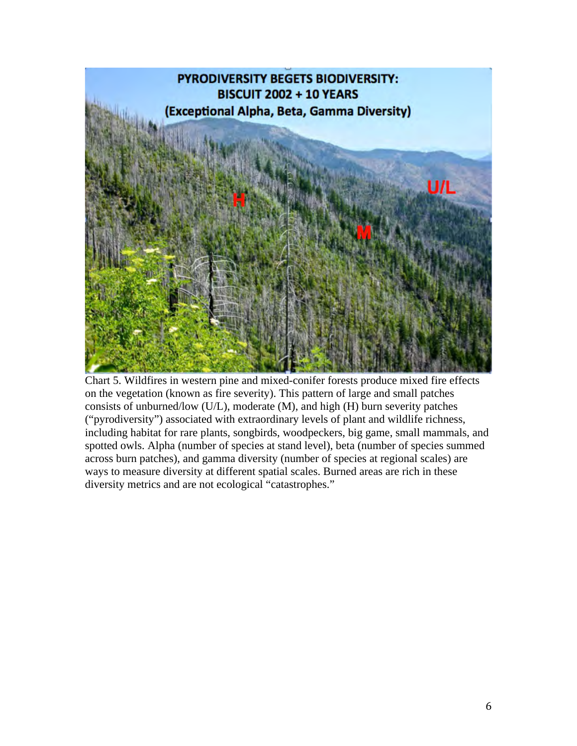

Chart 5. Wildfires in western pine and mixed-conifer forests produce mixed fire effects on the vegetation (known as fire severity). This pattern of large and small patches consists of unburned/low (U/L), moderate (M), and high (H) burn severity patches ("pyrodiversity") associated with extraordinary levels of plant and wildlife richness, including habitat for rare plants, songbirds, woodpeckers, big game, small mammals, and spotted owls. Alpha (number of species at stand level), beta (number of species summed across burn patches), and gamma diversity (number of species at regional scales) are ways to measure diversity at different spatial scales. Burned areas are rich in these diversity metrics and are not ecological "catastrophes."